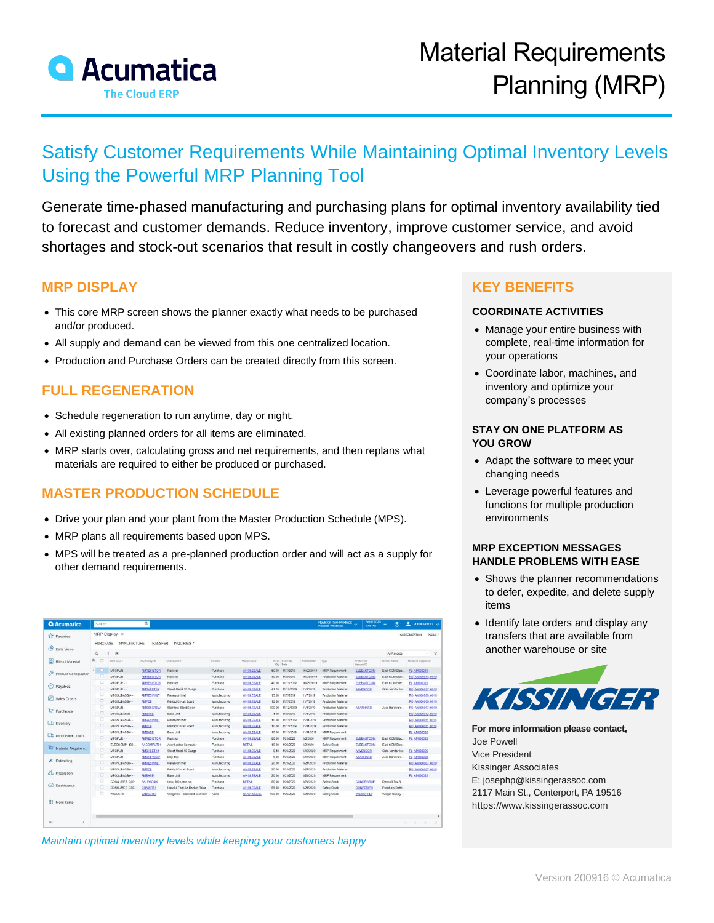

# Satisfy Customer Requirements While Maintaining Optimal Inventory Levels Using the Powerful MRP Planning Tool

Generate time-phased manufacturing and purchasing plans for optimal inventory availability tied to forecast and customer demands. Reduce inventory, improve customer service, and avoid shortages and stock-out scenarios that result in costly changeovers and rush orders.

### **MRP DISPLAY**

- This core MRP screen shows the planner exactly what needs to be purchased and/or produced.
- All supply and demand can be viewed from this one centralized location.
- Production and Purchase Orders can be created directly from this screen.

# **FULL REGENERATION**

- Schedule regeneration to run anytime, day or night.
- All existing planned orders for all items are eliminated.
- MRP starts over, calculating gross and net requirements, and then replans what materials are required to either be produced or purchased.

# **MASTER PRODUCTION SCHEDULE**

- Drive your plan and your plant from the Master Production Schedule (MPS).
- MRP plans all requirements based upon MPS.
- MPS will be treated as a pre-planned production order and will act as a supply for other demand requirements.

| <b>Q</b> Acumatica            | Search                                             |                                                           | $\alpha$          |                                |               |                                 |        |                          |            | Revision Two Products<br><b>Products Wholesale</b> | 9/17/2020<br>1.06 PM   | $\odot$<br>$\sim$               | ٠<br>admin admin v        |
|-------------------------------|----------------------------------------------------|-----------------------------------------------------------|-------------------|--------------------------------|---------------|---------------------------------|--------|--------------------------|------------|----------------------------------------------------|------------------------|---------------------------------|---------------------------|
| <b>EX</b> Favorites           | MRP Display *                                      |                                                           |                   |                                |               |                                 |        |                          |            |                                                    |                        | <b>CUSTOM/ZATION</b><br>TOOLS * |                           |
| $\bullet$<br>Data Views       | PURCHASE<br>MANUFACTURE<br>TRANSFER<br>INQUIRIES * |                                                           |                   |                                |               |                                 |        |                          |            |                                                    |                        |                                 |                           |
|                               | Ò                                                  | $\left  - \right $<br>$\vert \overline{\mathbf{x}} \vert$ |                   |                                |               |                                 |        |                          |            |                                                    |                        | All Records                     | $-9$                      |
| 国<br><b>Bills of Material</b> | 宾<br>n                                             | <b>Them Class</b>                                         | Inventory ID      | Description                    | Source        | Warehouse                       |        | Base Promise<br>Oty Date | ActionDate | Type                                               | Preferred<br>Vendor ID | Ventor Name                     | <b>Related Document</b>   |
| Product Configurator          | $\sum_{i=1}^{n}$                                   | MFGPUR--                                                  | <b>AMRESISTOR</b> | Resistor                       | Purchase      | WHOLESALE                       | 60.00  | 11/7/2019                | 10/23/2019 | <b>MRP Requirement</b>                             | ELEEASTCON             | East COM Elec.                  | PL: AM000019              |
|                               | σ                                                  | MFGPUR-                                                   | <b>AMRESISTOR</b> | Resistor                       | Purchase      | <b>WHOLESALE</b>                | 40.00  | 11/8/2019                | 10/24/2019 | Production Material                                | <b>ELEEASTCON</b>      | East COM Elec                   | RO. AM000014 0010         |
| $\Theta$ Pavables             | o                                                  | MFGPUR--                                                  | <b>AMRESISTOR</b> | Resistor                       | Purchase      | <b>WHOLESALE</b>                | 40.00  | 11/11/2019               | 10/25/2019 | <b>MRP Requirement</b>                             | <b>ELEEASTCOM</b>      | East COM Elec.                  | <b>PL_AM000021</b>        |
|                               | D.                                                 | MFGPUR--                                                  | AMSHEET10         | Sheet Metal 10 Guage           | Purchase      | <b>WHOLESALE</b>                | 41.26  | 11/12/2019               | 11/1/2019  | Production Material                                | <b>AAVENDOR</b>        | Goto Vendor Inc.                | RO.AM000017_0010          |
| $\mathscr{P}$<br>Sales Orders | о                                                  | MFGSUBASSY-                                               | <b>AMRESVINLT</b> | Reservoir inlet                | Manufacturing | <b>WHOLESALE</b>                | 15.00  | 11/7/2019                | 11/7/2019  | Production Material                                |                        |                                 | RO, AM000889, 0010        |
|                               | $\Box$                                             | MFGSUBASSY-                                               | <b>AMPCB</b>      | Printed Circuit Board          | Manufacturing | <b>WHOLESALE</b>                | 15.00  | 11/7/2019                | 11/7/2019  | Production Material                                |                        |                                 | RO.AM000009_0010          |
| Purchases                     | α                                                  | MFGPUR-                                                   | <b>AMSSSCREW</b>  | Stainless Steel Screw          | Purchase      | <b>WHOLESALE</b>                | 100.00 | 11/12/2019               | 11/8/2019  | Production Material                                | <b>ASARHARD</b>        | Asar Hardware                   | RO.AM000017_0010          |
|                               | ö                                                  | MFGSUBASSY-                                               | <b>AMBASE</b>     | <b>Base Unit</b>               | Manufacturing | <b><i>WHOLESALE</i></b>         | 4.00   | 11/8/2019                | 11/8/2019  | Production Material                                |                        |                                 | RO. AM000012, 0010        |
| <b>LD</b> Inventory           | в                                                  | MFGSUBASSY-                                               | <b>AMRESVINLT</b> | Reservoir Inlet                | Manufacturing | <b>WHOLESALE</b>                | 10.00  | 11/11/2019               | 11/11/2019 | Production Material                                |                        |                                 | RO.AM000011_0010          |
|                               | $\Box$                                             | MFGSUBASSY-                                               | <b>AMPCB</b>      | <b>Printed Circuit Board</b>   | Manufacturing | <b><i><u>INHOLESALE</u></i></b> | 10.00  | 11/11/2019               | 11/11/2019 | Production Material                                |                        |                                 | RO. AM000011, 0010        |
|                               | o                                                  | MFGSUBASSY --                                             | <b>AMBASE</b>     | Base Unit                      | Manufacturing | <b><i><u>MHOLESALE</u></i></b>  | 10.00  | 11/11/2019               | 11/11/2019 | MRP Requirement                                    |                        |                                 | <b>PL. AM000020</b>       |
| <b>CD</b> Production Orders   | о                                                  | MEGPHR                                                    | <b>AMRESISTOR</b> | Resistor                       | Purchase      | <b>WHOLESALE</b>                | 80.00  | 1/21/2020                | 1/6/2020   | <b>MRP Requirement</b>                             | ELEEASTCOM             | East COM Elec.                  | <b>PL_AM000023</b>        |
|                               | o                                                  | ELECCOMP-400-                                             | AACOMPUTO:        | Acer Lactop Computer           | Purchase      | <b>RETAIL</b>                   | 10.00  | 1/26/2020                | 1/9/2020   | Safety Stock                                       | <b>ELEEASTCOM</b>      | East COM Elec.                  |                           |
| Material Requirem.            | o                                                  | MFGPUR-                                                   | AMSHEET10         | Sheet Metal 10 Guage           | Purchase      | <b>WHOLESALE</b>                | 0.40   | 1/21/2020                | 1/10/2020  | <b>MRP Requirement</b>                             | <b>AAVENDOR</b>        | Goto Vendor Inc.                | PL AM000025               |
| $E$ Estimating                | п                                                  | MFGPUR--                                                  | <b>AMDRIPTRAY</b> | Drip Tray                      | Purchase      | <b>WHOLESALE</b>                | 5.00   | 1/21/2020                | 1/17/2020  | <b>MRP Requirement</b>                             | <b>ASARHARD</b>        | Asar Hardware                   | PL_AM000025               |
|                               | о                                                  | MFGSURASSY-                                               | <b>AMRESVINLT</b> | Reservoir inlet                | Manufacturing | <b>WHOLESALE</b>                | 20.00  | 1/21/2020                | 1/21/2020  | Production Material                                |                        |                                 | RO. AM000807 0010         |
| on Integration                | Ξ                                                  | MFGSUBASSY --                                             | <b>AMPCB</b>      | <b>Printed Circuit Board</b>   | Manufacturing | <b>WHOLESALE</b>                | 20.00  | 1/21/2020                | 1/21/2020  | Production Material                                |                        |                                 | RO. AM000007.0010         |
|                               | o                                                  | MFGSUBASSY --                                             | <b>AMBASE</b>     | Base Unit                      | Manufacturing | <b>WHOLESALE</b>                | 20.00  | 1/21/2020                | 1/21/2020  | <b>MRP Requirement</b>                             |                        |                                 | PL AM000022               |
| <b>Dashboards</b>             | α                                                  | CONSUMER -300-                                            | AALEGO500         | Lego 500 piece set             | Purchase      | <b>RETAIL</b>                   | 80.00  | 1/26/2020                | 1/24/2020  | Safety Stock                                       | <b>CONDENSUP</b>       | Dewsoft Toy S.                  |                           |
|                               | $\Box$                                             | CONSUMER -300-                                            | <b>CONARTS</b>    | Harvil 4 Foot Air Hockey Table | Purchase      | <b>WHOLESALE</b>                | 65.00  | 1/26/2020                | 1/24/2020  | Safety Stock                                       | <b>CONPERIPH</b>       | Periphery Distri                |                           |
|                               | o                                                  | WIDGETS--                                                 | WDGET03           | Widget 03 - Standard cost item | None.         | <b>VA-WHOLESL</b>               | 100.00 | 1/26/2020                | 1/24/2020  | Safety Stock                                       | <b>WIDSUPPLY</b>       | Widget Supply                   |                           |
| <b>Hill More Items</b>        |                                                    |                                                           |                   |                                |               |                                 |        |                          |            |                                                    |                        |                                 |                           |
|                               | $\leftarrow$ 11                                    |                                                           |                   |                                |               |                                 |        |                          |            |                                                    |                        |                                 |                           |
| $\epsilon$<br>$***$           |                                                    |                                                           |                   |                                |               |                                 |        |                          |            |                                                    |                        |                                 | v.<br>34<br>$\sim$<br>-51 |

*Maintain optimal inventory levels while keeping your customers happy*

# **KEY BENEFITS**

#### **COORDINATE ACTIVITIES**

- Manage your entire business with complete, real-time information for your operations
- Coordinate labor, machines, and inventory and optimize your company's processes

#### **STAY ON ONE PLATFORM AS YOU GROW**

- Adapt the software to meet your changing needs
- Leverage powerful features and functions for multiple production environments

#### **MRP EXCEPTION MESSAGES HANDLE PROBLEMS WITH EASE**

- Shows the planner recommendations to defer, expedite, and delete supply items
- Identify late orders and display any transfers that are available from another warehouse or site



**For more information please contact,** Joe Powell Vice President Kissinger Associates [E: josephp@kissingerassoc.com](mailto:josephp@kissingerassoc.com) 2117 Main St., Centerport, PA 19516 [https://www.kissingerassoc.com](https://www.kissingerassoc.com/)